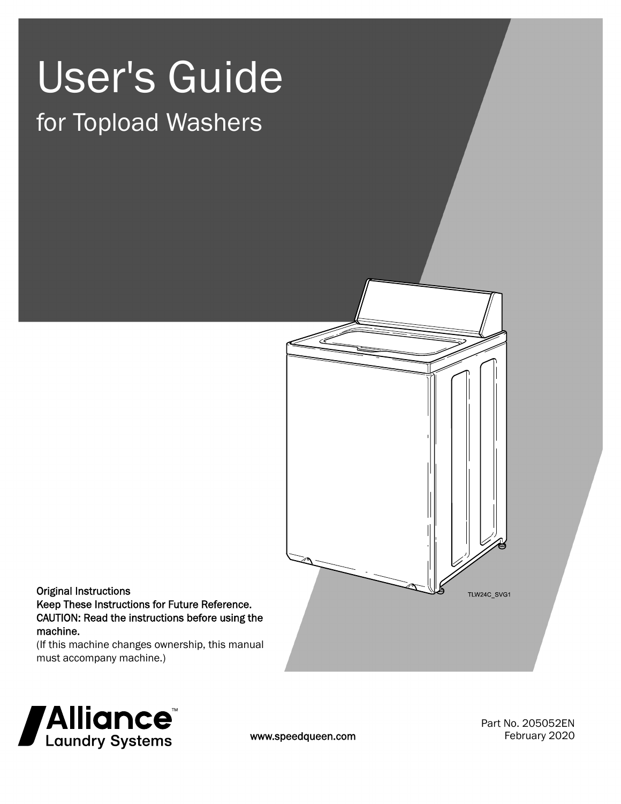# User's Guide

# for Topload Washers



#### Original Instructions Keep These Instructions for Future Reference. CAUTION: Read the instructions before using the machine.

(If this machine changes ownership, this manual must accompany machine.)



www.speedqueen.com

Part No. 205052EN February 2020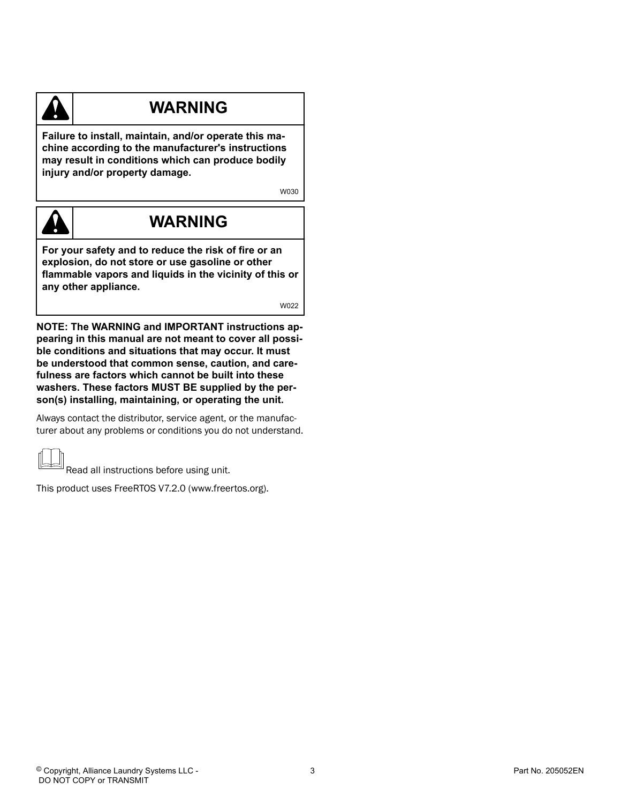

# **WARNING**

**Failure to install, maintain, and/or operate this machine according to the manufacturer's instructions may result in conditions which can produce bodily injury and/or property damage.**

W030



# **WARNING**

**For your safety and to reduce the risk of fire or an explosion, do not store or use gasoline or other flammable vapors and liquids in the vicinity of this or any other appliance.**

W022

**NOTE: The WARNING and IMPORTANT instructions appearing in this manual are not meant to cover all possible conditions and situations that may occur. It must be understood that common sense, caution, and carefulness are factors which cannot be built into these washers. These factors MUST BE supplied by the person(s) installing, maintaining, or operating the unit.**

Always contact the distributor, service agent, or the manufacturer about any problems or conditions you do not understand.

Read all instructions before using unit.

This product uses FreeRTOS V7.2.0 (www.freertos.org).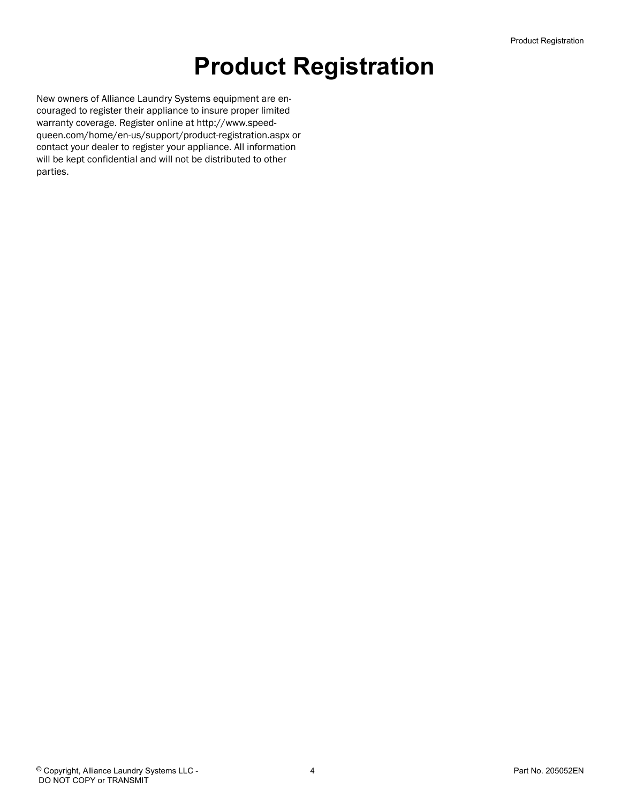# **Product Registration**

New owners of Alliance Laundry Systems equipment are encouraged to register their appliance to insure proper limited warranty coverage. Register online at http://www.speedqueen.com/home/en-us/support/product-registration.aspx or contact your dealer to register your appliance. All information will be kept confidential and will not be distributed to other parties.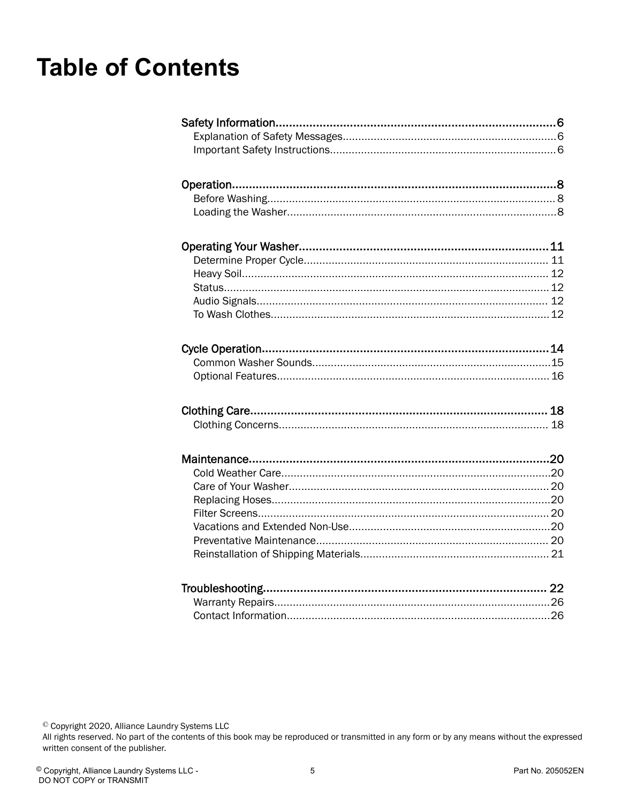# **Table of Contents**

© Copyright 2020, Alliance Laundry Systems LLC<br>All rights reserved. No part of the contents of this book may be reproduced or transmitted in any form or by any means without the expressed written consent of the publisher.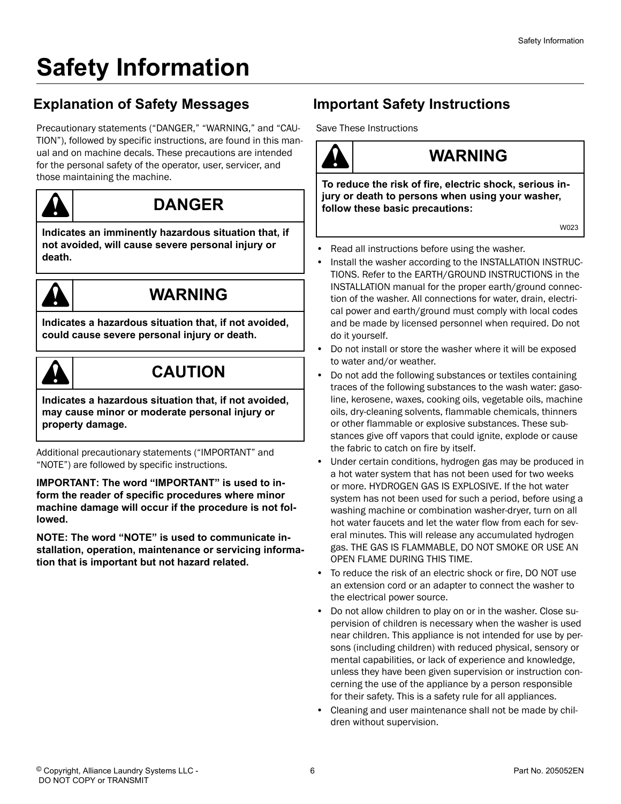# <span id="page-5-0"></span>**Safety Information**

# **Explanation of Safety Messages**

Precautionary statements ("DANGER," "WARNING," and "CAU-TION"), followed by specific instructions, are found in this manual and on machine decals. These precautions are intended for the personal safety of the operator, user, servicer, and those maintaining the machine.



# **DANGER**

**Indicates an imminently hazardous situation that, if not avoided, will cause severe personal injury or death.**



# **WARNING**

**Indicates a hazardous situation that, if not avoided, could cause severe personal injury or death.**



# **CAUTION**

**Indicates a hazardous situation that, if not avoided, may cause minor or moderate personal injury or property damage.**

Additional precautionary statements ("IMPORTANT" and "NOTE") are followed by specific instructions.

**IMPORTANT: The word "IMPORTANT" is used to inform the reader of specific procedures where minor machine damage will occur if the procedure is not followed.**

**NOTE: The word "NOTE" is used to communicate installation, operation, maintenance or servicing information that is important but not hazard related.**

# **Important Safety Instructions**

Save These Instructions

# **WARNING**

**To reduce the risk of fire, electric shock, serious injury or death to persons when using your washer, follow these basic precautions:**

W023

- Read all instructions before using the washer.
- Install the washer according to the INSTALLATION INSTRUC-TIONS. Refer to the EARTH/GROUND INSTRUCTIONS in the INSTALLATION manual for the proper earth/ground connection of the washer. All connections for water, drain, electrical power and earth/ground must comply with local codes and be made by licensed personnel when required. Do not do it yourself.
- Do not install or store the washer where it will be exposed to water and/or weather.
- Do not add the following substances or textiles containing traces of the following substances to the wash water: gasoline, kerosene, waxes, cooking oils, vegetable oils, machine oils, dry-cleaning solvents, flammable chemicals, thinners or other flammable or explosive substances. These substances give off vapors that could ignite, explode or cause the fabric to catch on fire by itself.
- Under certain conditions, hydrogen gas may be produced in a hot water system that has not been used for two weeks or more. HYDROGEN GAS IS EXPLOSIVE. If the hot water system has not been used for such a period, before using a washing machine or combination washer-dryer, turn on all hot water faucets and let the water flow from each for several minutes. This will release any accumulated hydrogen gas. THE GAS IS FLAMMABLE, DO NOT SMOKE OR USE AN OPEN FLAME DURING THIS TIME.
- To reduce the risk of an electric shock or fire, DO NOT use an extension cord or an adapter to connect the washer to the electrical power source.
- Do not allow children to play on or in the washer. Close supervision of children is necessary when the washer is used near children. This appliance is not intended for use by persons (including children) with reduced physical, sensory or mental capabilities, or lack of experience and knowledge, unless they have been given supervision or instruction concerning the use of the appliance by a person responsible for their safety. This is a safety rule for all appliances.
- Cleaning and user maintenance shall not be made by children without supervision.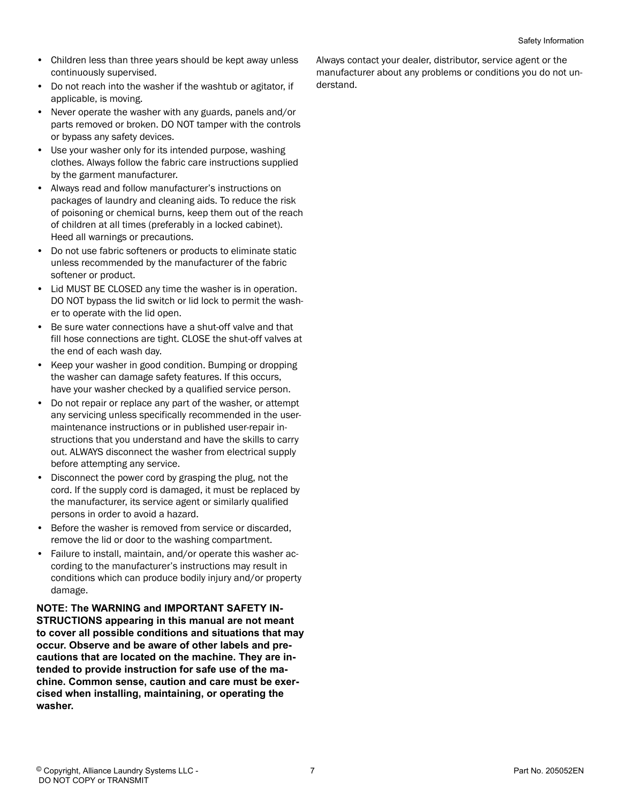- Children less than three years should be kept away unless continuously supervised.
- Do not reach into the washer if the washtub or agitator, if applicable, is moving.
- Never operate the washer with any guards, panels and/or parts removed or broken. DO NOT tamper with the controls or bypass any safety devices.
- Use your washer only for its intended purpose, washing clothes. Always follow the fabric care instructions supplied by the garment manufacturer.
- Always read and follow manufacturer's instructions on packages of laundry and cleaning aids. To reduce the risk of poisoning or chemical burns, keep them out of the reach of children at all times (preferably in a locked cabinet). Heed all warnings or precautions.
- Do not use fabric softeners or products to eliminate static unless recommended by the manufacturer of the fabric softener or product.
- Lid MUST BE CLOSED any time the washer is in operation. DO NOT bypass the lid switch or lid lock to permit the washer to operate with the lid open.
- Be sure water connections have a shut-off valve and that fill hose connections are tight. CLOSE the shut-off valves at the end of each wash day.
- Keep your washer in good condition. Bumping or dropping the washer can damage safety features. If this occurs, have your washer checked by a qualified service person.
- Do not repair or replace any part of the washer, or attempt any servicing unless specifically recommended in the usermaintenance instructions or in published user-repair instructions that you understand and have the skills to carry out. ALWAYS disconnect the washer from electrical supply before attempting any service.
- Disconnect the power cord by grasping the plug, not the cord. If the supply cord is damaged, it must be replaced by the manufacturer, its service agent or similarly qualified persons in order to avoid a hazard.
- Before the washer is removed from service or discarded, remove the lid or door to the washing compartment.
- Failure to install, maintain, and/or operate this washer according to the manufacturer's instructions may result in conditions which can produce bodily injury and/or property damage.

**NOTE: The WARNING and IMPORTANT SAFETY IN-STRUCTIONS appearing in this manual are not meant to cover all possible conditions and situations that may occur. Observe and be aware of other labels and precautions that are located on the machine. They are intended to provide instruction for safe use of the machine. Common sense, caution and care must be exercised when installing, maintaining, or operating the washer.**

Always contact your dealer, distributor, service agent or the manufacturer about any problems or conditions you do not understand.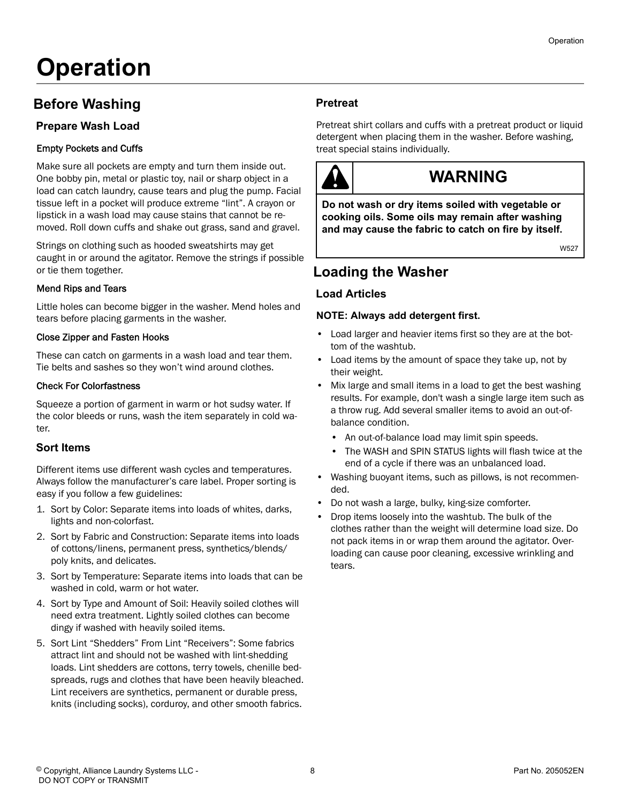# <span id="page-7-0"></span>**Operation**

### **Before Washing**

#### **Prepare Wash Load**

#### Empty Pockets and Cuffs

Make sure all pockets are empty and turn them inside out. One bobby pin, metal or plastic toy, nail or sharp object in a load can catch laundry, cause tears and plug the pump. Facial tissue left in a pocket will produce extreme "lint". A crayon or lipstick in a wash load may cause stains that cannot be removed. Roll down cuffs and shake out grass, sand and gravel.

Strings on clothing such as hooded sweatshirts may get caught in or around the agitator. Remove the strings if possible or tie them together.

#### Mend Rips and Tears

Little holes can become bigger in the washer. Mend holes and tears before placing garments in the washer.

#### Close Zipper and Fasten Hooks

These can catch on garments in a wash load and tear them. Tie belts and sashes so they won't wind around clothes.

#### Check For Colorfastness

Squeeze a portion of garment in warm or hot sudsy water. If the color bleeds or runs, wash the item separately in cold water.

#### **Sort Items**

Different items use different wash cycles and temperatures. Always follow the manufacturer's care label. Proper sorting is easy if you follow a few guidelines:

- 1. Sort by Color: Separate items into loads of whites, darks, lights and non-colorfast.
- 2. Sort by Fabric and Construction: Separate items into loads of cottons/linens, permanent press, synthetics/blends/ poly knits, and delicates.
- 3. Sort by Temperature: Separate items into loads that can be washed in cold, warm or hot water.
- 4. Sort by Type and Amount of Soil: Heavily soiled clothes will need extra treatment. Lightly soiled clothes can become dingy if washed with heavily soiled items.
- 5. Sort Lint "Shedders" From Lint "Receivers": Some fabrics attract lint and should not be washed with lint-shedding loads. Lint shedders are cottons, terry towels, chenille bedspreads, rugs and clothes that have been heavily bleached. Lint receivers are synthetics, permanent or durable press, knits (including socks), corduroy, and other smooth fabrics.

#### **Pretreat**

Pretreat shirt collars and cuffs with a pretreat product or liquid detergent when placing them in the washer. Before washing, treat special stains individually.



# **WARNING**

**Do not wash or dry items soiled with vegetable or cooking oils. Some oils may remain after washing and may cause the fabric to catch on fire by itself.**

W527

### **Loading the Washer**

#### **Load Articles**

#### **NOTE: Always add detergent first.**

- Load larger and heavier items first so they are at the bottom of the washtub.
- Load items by the amount of space they take up, not by their weight.
- Mix large and small items in a load to get the best washing results. For example, don't wash a single large item such as a throw rug. Add several smaller items to avoid an out-ofbalance condition.
	- An out-of-balance load may limit spin speeds.
	- The WASH and SPIN STATUS lights will flash twice at the end of a cycle if there was an unbalanced load.
- Washing buoyant items, such as pillows, is not recommended.
- Do not wash a large, bulky, king-size comforter.
- Drop items loosely into the washtub. The bulk of the clothes rather than the weight will determine load size. Do not pack items in or wrap them around the agitator. Overloading can cause poor cleaning, excessive wrinkling and tears.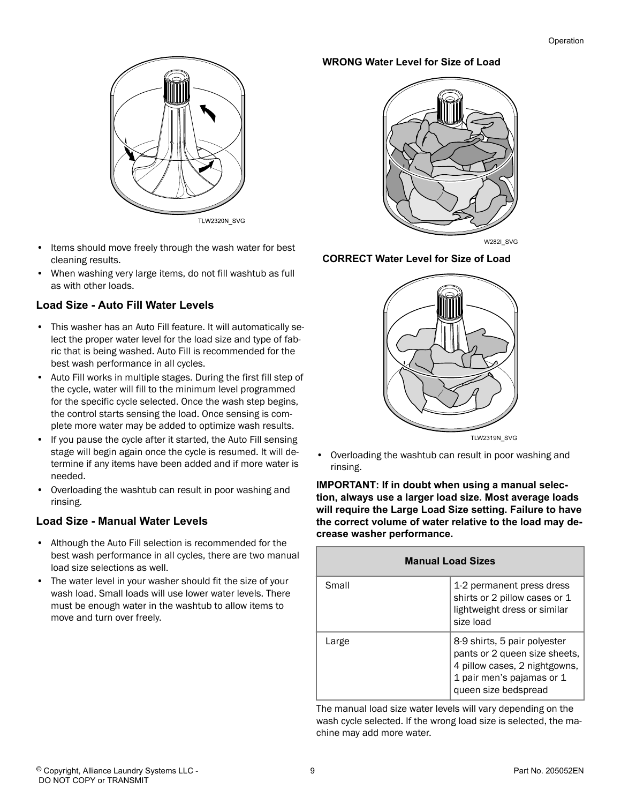

- Items should move freely through the wash water for best cleaning results.
- When washing very large items, do not fill washtub as full as with other loads.

#### **Load Size - Auto Fill Water Levels**

- This washer has an Auto Fill feature. It will automatically select the proper water level for the load size and type of fabric that is being washed. Auto Fill is recommended for the best wash performance in all cycles.
- Auto Fill works in multiple stages. During the first fill step of the cycle, water will fill to the minimum level programmed for the specific cycle selected. Once the wash step begins, the control starts sensing the load. Once sensing is complete more water may be added to optimize wash results.
- If you pause the cycle after it started, the Auto Fill sensing stage will begin again once the cycle is resumed. It will determine if any items have been added and if more water is needed.
- Overloading the washtub can result in poor washing and rinsing.

#### **Load Size - Manual Water Levels**

- Although the Auto Fill selection is recommended for the best wash performance in all cycles, there are two manual load size selections as well.
- The water level in your washer should fit the size of your wash load. Small loads will use lower water levels. There must be enough water in the washtub to allow items to move and turn over freely.

#### **WRONG Water Level for Size of Load**



W282I\_SVG

#### **CORRECT Water Level for Size of Load**



• Overloading the washtub can result in poor washing and rinsing.

**IMPORTANT: If in doubt when using a manual selection, always use a larger load size. Most average loads will require the Large Load Size setting. Failure to have the correct volume of water relative to the load may decrease washer performance.**

| <b>Manual Load Sizes</b> |                                                                                                                                                     |  |
|--------------------------|-----------------------------------------------------------------------------------------------------------------------------------------------------|--|
| Small                    | 1-2 permanent press dress<br>shirts or 2 pillow cases or 1<br>lightweight dress or similar<br>size load                                             |  |
| Large                    | 8-9 shirts, 5 pair polyester<br>pants or 2 queen size sheets,<br>4 pillow cases, 2 nightgowns,<br>1 pair men's pajamas or 1<br>queen size bedspread |  |

The manual load size water levels will vary depending on the wash cycle selected. If the wrong load size is selected, the machine may add more water.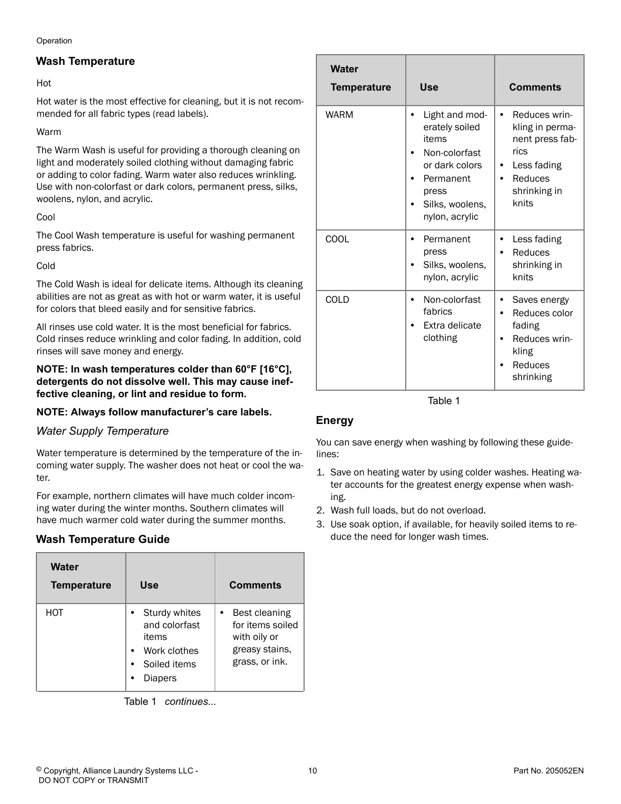Operation

#### **Wash Temperature**

#### Hot

Hot water is the most effective for cleaning, but it is not recommended for all fabric types (read labels).

#### Warm

The Warm Wash is useful for providing a thorough cleaning on light and moderately soiled clothing without damaging fabric or adding to color fading. Warm water also reduces wrinkling. Use with non-colorfast or dark colors, permanent press, silks, woolens, nylon, and acrylic.

#### Cool

The Cool Wash temperature is useful for washing permanent press fabrics.

#### Cold

The Cold Wash is ideal for delicate items. Although its cleaning abilities are not as great as with hot or warm water, it is useful for colors that bleed easily and for sensitive fabrics.

All rinses use cold water. It is the most beneficial for fabrics. Cold rinses reduce wrinkling and color fading. In addition, cold rinses will save money and energy.

#### **NOTE: In wash temperatures colder than 60°F [16°C], detergents do not dissolve well. This may cause ineffective cleaning, or lint and residue to form.**

#### **NOTE: Always follow manufacturer's care labels.**

#### *Water Supply Temperature*

Water temperature is determined by the temperature of the incoming water supply. The washer does not heat or cool the water.

For example, northern climates will have much colder incoming water during the winter months. Southern climates will have much warmer cold water during the summer months.

#### **Wash Temperature Guide**

| Water<br><b>Temperature</b> | Use                                                                                             | <b>Comments</b>                                                                            |
|-----------------------------|-------------------------------------------------------------------------------------------------|--------------------------------------------------------------------------------------------|
| нот                         | Sturdy whites<br>and colorfast<br>items<br>Work clothes<br>$\bullet$<br>Soiled items<br>Diapers | Best cleaning<br>٠<br>for items soiled<br>with oily or<br>greasy stains,<br>grass, or ink. |

Table 1  *continues...*

| <b>Water</b><br><b>Temperature</b> | <b>Use</b>                                                                                                                                   | <b>Comments</b>                                                                                                                          |
|------------------------------------|----------------------------------------------------------------------------------------------------------------------------------------------|------------------------------------------------------------------------------------------------------------------------------------------|
| <b>WARM</b>                        | Light and mod-<br>٠<br>erately soiled<br>items<br>Non-colorfast<br>or dark colors<br>Permanent<br>press<br>Silks, woolens,<br>nylon, acrylic | Reduces wrin-<br>$\bullet$<br>kling in perma-<br>nent press fab-<br>rics<br>Less fading<br>$\bullet$<br>Reduces<br>shrinking in<br>knits |
| COOL                               | Permanent<br>press<br>Silks, woolens,<br>nylon, acrylic                                                                                      | Less fading<br>Reduces<br>$\bullet$<br>shrinking in<br>knits                                                                             |
| COLD                               | Non-colorfast<br>٠<br>fabrics<br>Extra delicate<br>clothing                                                                                  | Saves energy<br>$\bullet$<br>Reduces color<br>$\bullet$<br>fading<br>Reduces wrin-<br>kling<br>Reduces<br>shrinking                      |

Table 1

#### **Energy**

You can save energy when washing by following these guidelines:

- 1. Save on heating water by using colder washes. Heating water accounts for the greatest energy expense when washing.
- 2. Wash full loads, but do not overload.
- 3. Use soak option, if available, for heavily soiled items to reduce the need for longer wash times.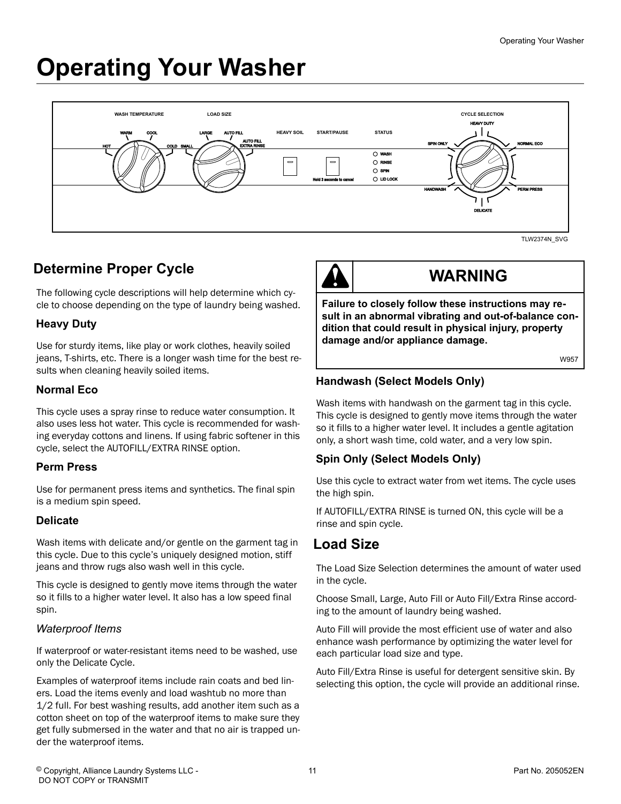# <span id="page-10-0"></span>**Operating Your Washer**



# **Determine Proper Cycle**

The following cycle descriptions will help determine which cycle to choose depending on the type of laundry being washed.

#### **Heavy Duty**

Use for sturdy items, like play or work clothes, heavily soiled jeans, T-shirts, etc. There is a longer wash time for the best results when cleaning heavily soiled items.

#### **Normal Eco**

This cycle uses a spray rinse to reduce water consumption. It also uses less hot water. This cycle is recommended for washing everyday cottons and linens. If using fabric softener in this cycle, select the AUTOFILL/EXTRA RINSE option.

#### **Perm Press**

Use for permanent press items and synthetics. The final spin is a medium spin speed.

#### **Delicate**

Wash items with delicate and/or gentle on the garment tag in this cycle. Due to this cycle's uniquely designed motion, stiff jeans and throw rugs also wash well in this cycle.

This cycle is designed to gently move items through the water so it fills to a higher water level. It also has a low speed final spin.

#### *Waterproof Items*

If waterproof or water-resistant items need to be washed, use only the Delicate Cycle.

Examples of waterproof items include rain coats and bed liners. Load the items evenly and load washtub no more than 1/2 full. For best washing results, add another item such as a cotton sheet on top of the waterproof items to make sure they get fully submersed in the water and that no air is trapped under the waterproof items.

# **WARNING**

**Failure to closely follow these instructions may result in an abnormal vibrating and out-of-balance condition that could result in physical injury, property damage and/or appliance damage.**

W957

#### **Handwash (Select Models Only)**

Wash items with handwash on the garment tag in this cycle. This cycle is designed to gently move items through the water so it fills to a higher water level. It includes a gentle agitation only, a short wash time, cold water, and a very low spin.

#### **Spin Only (Select Models Only)**

Use this cycle to extract water from wet items. The cycle uses the high spin.

If AUTOFILL/EXTRA RINSE is turned ON, this cycle will be a rinse and spin cycle.

#### **Load Size**

The Load Size Selection determines the amount of water used in the cycle.

Choose Small, Large, Auto Fill or Auto Fill/Extra Rinse according to the amount of laundry being washed.

Auto Fill will provide the most efficient use of water and also enhance wash performance by optimizing the water level for each particular load size and type.

Auto Fill/Extra Rinse is useful for detergent sensitive skin. By selecting this option, the cycle will provide an additional rinse.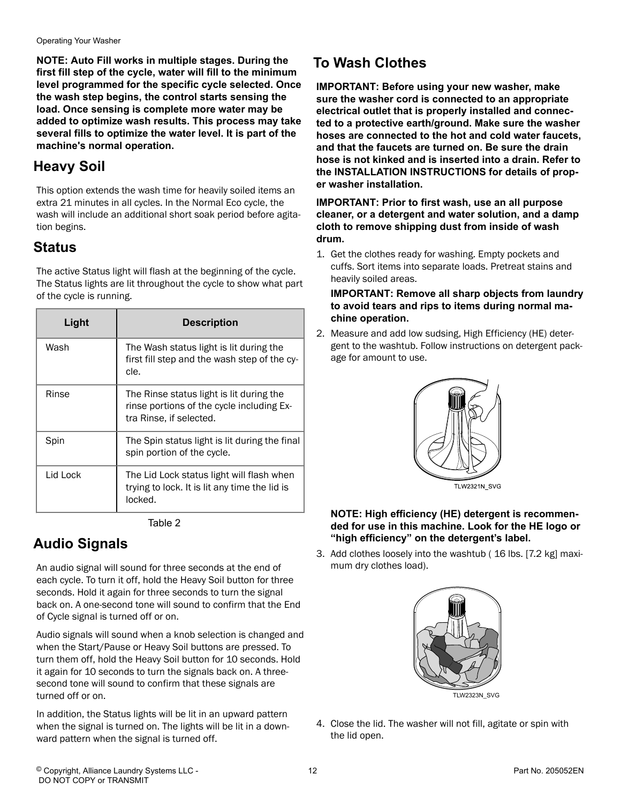<span id="page-11-0"></span>Operating Your Washer

**NOTE: Auto Fill works in multiple stages. During the first fill step of the cycle, water will fill to the minimum level programmed for the specific cycle selected. Once the wash step begins, the control starts sensing the load. Once sensing is complete more water may be added to optimize wash results. This process may take several fills to optimize the water level. It is part of the machine's normal operation.**

# **Heavy Soil**

This option extends the wash time for heavily soiled items an extra 21 minutes in all cycles. In the Normal Eco cycle, the wash will include an additional short soak period before agitation begins.

### **Status**

The active Status light will flash at the beginning of the cycle. The Status lights are lit throughout the cycle to show what part of the cycle is running.

| Light    | <b>Description</b>                                                                                               |
|----------|------------------------------------------------------------------------------------------------------------------|
| Wash     | The Wash status light is lit during the<br>first fill step and the wash step of the cy-<br>cle.                  |
| Rinse    | The Rinse status light is lit during the<br>rinse portions of the cycle including Ex-<br>tra Rinse, if selected. |
| Spin     | The Spin status light is lit during the final<br>spin portion of the cycle.                                      |
| Lid Lock | The Lid Lock status light will flash when<br>trying to lock. It is lit any time the lid is<br>locked.            |

Table 2

# **Audio Signals**

An audio signal will sound for three seconds at the end of each cycle. To turn it off, hold the Heavy Soil button for three seconds. Hold it again for three seconds to turn the signal back on. A one-second tone will sound to confirm that the End of Cycle signal is turned off or on.

Audio signals will sound when a knob selection is changed and when the Start/Pause or Heavy Soil buttons are pressed. To turn them off, hold the Heavy Soil button for 10 seconds. Hold it again for 10 seconds to turn the signals back on. A threesecond tone will sound to confirm that these signals are turned off or on.

In addition, the Status lights will be lit in an upward pattern when the signal is turned on. The lights will be lit in a downward pattern when the signal is turned off.

# **To Wash Clothes**

**IMPORTANT: Before using your new washer, make sure the washer cord is connected to an appropriate electrical outlet that is properly installed and connected to a protective earth/ground. Make sure the washer hoses are connected to the hot and cold water faucets, and that the faucets are turned on. Be sure the drain hose is not kinked and is inserted into a drain. Refer to the INSTALLATION INSTRUCTIONS for details of proper washer installation.**

**IMPORTANT: Prior to first wash, use an all purpose cleaner, or a detergent and water solution, and a damp cloth to remove shipping dust from inside of wash drum.**

1. Get the clothes ready for washing. Empty pockets and cuffs. Sort items into separate loads. Pretreat stains and heavily soiled areas.

**IMPORTANT: Remove all sharp objects from laundry to avoid tears and rips to items during normal machine operation.**

2. Measure and add low sudsing, High Efficiency (HE) detergent to the washtub. Follow instructions on detergent package for amount to use.



#### **NOTE: High efficiency (HE) detergent is recommended for use in this machine. Look for the HE logo or "high efficiency" on the detergent's label.**

3. Add clothes loosely into the washtub ( 16 lbs. [7.2 kg] maximum dry clothes load).



4. Close the lid. The washer will not fill, agitate or spin with the lid open.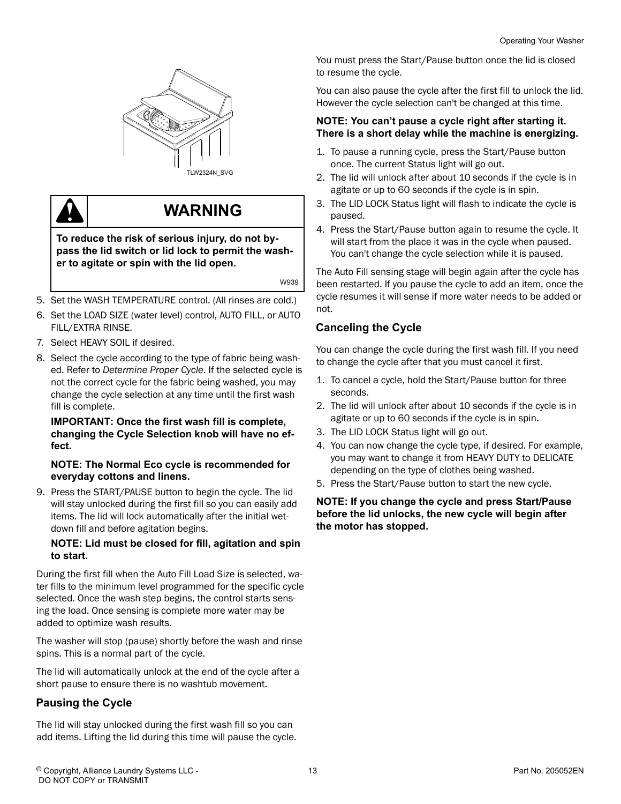

**TLW2324N\_SVG** 

# **WARNING**

**To reduce the risk of serious injury, do not bypass the lid switch or lid lock to permit the washer to agitate or spin with the lid open.**

W939

- 5. Set the WASH TEMPERATURE control. (All rinses are cold.)
- 6. Set the LOAD SIZE (water level) control, AUTO FILL, or AUTO FILL/EXTRA RINSE.
- 7. Select HEAVY SOIL if desired.
- 8. Select the cycle according to the type of fabric being washed. Refer to *[Determine Proper Cycle](#page-10-0)*. If the selected cycle is not the correct cycle for the fabric being washed, you may change the cycle selection at any time until the first wash fill is complete.

#### **IMPORTANT: Once the first wash fill is complete, changing the Cycle Selection knob will have no effect.**

#### **NOTE: The Normal Eco cycle is recommended for everyday cottons and linens.**

9. Press the START/PAUSE button to begin the cycle. The lid will stay unlocked during the first fill so you can easily add items. The lid will lock automatically after the initial wetdown fill and before agitation begins.

#### **NOTE: Lid must be closed for fill, agitation and spin to start.**

During the first fill when the Auto Fill Load Size is selected, water fills to the minimum level programmed for the specific cycle selected. Once the wash step begins, the control starts sensing the load. Once sensing is complete more water may be added to optimize wash results.

The washer will stop (pause) shortly before the wash and rinse spins. This is a normal part of the cycle.

The lid will automatically unlock at the end of the cycle after a short pause to ensure there is no washtub movement.

#### **Pausing the Cycle**

The lid will stay unlocked during the first wash fill so you can add items. Lifting the lid during this time will pause the cycle. You must press the Start/Pause button once the lid is closed to resume the cycle.

You can also pause the cycle after the first fill to unlock the lid. However the cycle selection can't be changed at this time.

#### **NOTE: You can't pause a cycle right after starting it. There is a short delay while the machine is energizing.**

- 1. To pause a running cycle, press the Start/Pause button once. The current Status light will go out.
- 2. The lid will unlock after about 10 seconds if the cycle is in agitate or up to 60 seconds if the cycle is in spin.
- 3. The LID LOCK Status light will flash to indicate the cycle is paused.
- 4. Press the Start/Pause button again to resume the cycle. It will start from the place it was in the cycle when paused. You can't change the cycle selection while it is paused.

The Auto Fill sensing stage will begin again after the cycle has been restarted. If you pause the cycle to add an item, once the cycle resumes it will sense if more water needs to be added or not.

#### **Canceling the Cycle**

You can change the cycle during the first wash fill. If you need to change the cycle after that you must cancel it first.

- 1. To cancel a cycle, hold the Start/Pause button for three seconds.
- 2. The lid will unlock after about 10 seconds if the cycle is in agitate or up to 60 seconds if the cycle is in spin.
- 3. The LID LOCK Status light will go out.
- 4. You can now change the cycle type, if desired. For example, you may want to change it from HEAVY DUTY to DELICATE depending on the type of clothes being washed.
- 5. Press the Start/Pause button to start the new cycle.

#### **NOTE: If you change the cycle and press Start/Pause before the lid unlocks, the new cycle will begin after the motor has stopped.**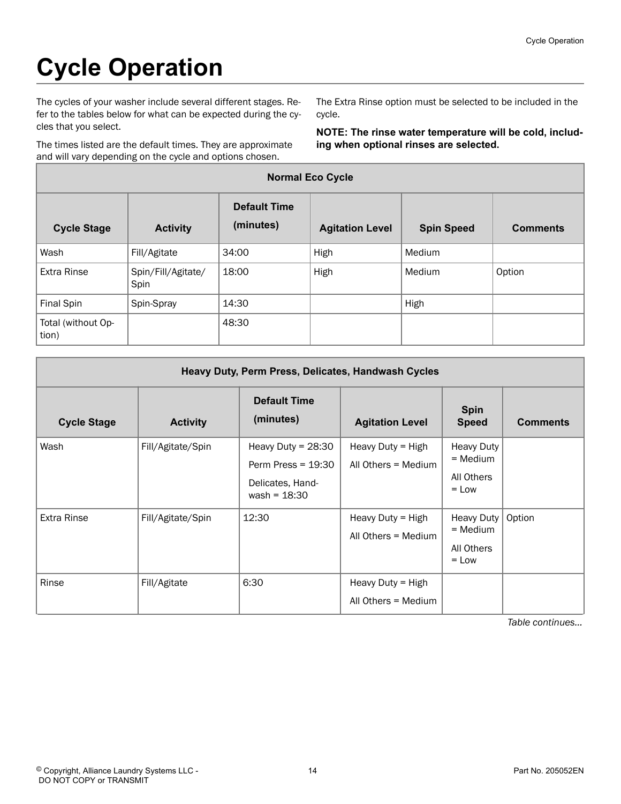# <span id="page-13-0"></span>**Cycle Operation**

The cycles of your washer include several different stages. Refer to the tables below for what can be expected during the cycles that you select.

The times listed are the default times. They are approximate and will vary depending on the cycle and options chosen.

The Extra Rinse option must be selected to be included in the cycle.

**NOTE: The rinse water temperature will be cold, including when optional rinses are selected.**

| <b>Normal Eco Cycle</b>     |                            |                                  |                        |                   |                 |
|-----------------------------|----------------------------|----------------------------------|------------------------|-------------------|-----------------|
| <b>Cycle Stage</b>          | <b>Activity</b>            | <b>Default Time</b><br>(minutes) | <b>Agitation Level</b> | <b>Spin Speed</b> | <b>Comments</b> |
| Wash                        | Fill/Agitate               | 34:00                            | High                   | Medium            |                 |
| <b>Extra Rinse</b>          | Spin/Fill/Agitate/<br>Spin | 18:00                            | High                   | Medium            | Option          |
| <b>Final Spin</b>           | Spin-Spray                 | 14:30                            |                        | High              |                 |
| Total (without Op-<br>tion) |                            | 48:30                            |                        |                   |                 |

| Heavy Duty, Perm Press, Delicates, Handwash Cycles |                   |                                                                                    |                                          |                                                          |                 |
|----------------------------------------------------|-------------------|------------------------------------------------------------------------------------|------------------------------------------|----------------------------------------------------------|-----------------|
| <b>Cycle Stage</b>                                 | <b>Activity</b>   | <b>Default Time</b><br>(minutes)                                                   | <b>Agitation Level</b>                   | <b>Spin</b><br><b>Speed</b>                              | <b>Comments</b> |
| Wash                                               | Fill/Agitate/Spin | Heavy Duty = $28:30$<br>Perm Press = $19:30$<br>Delicates, Hand-<br>wash = $18:30$ | Heavy Duty = High<br>All Others = Medium | <b>Heavy Duty</b><br>$=$ Medium<br>All Others<br>$=$ Low |                 |
| <b>Extra Rinse</b>                                 | Fill/Agitate/Spin | 12:30                                                                              | Heavy Duty = High<br>All Others = Medium | <b>Heavy Duty</b><br>$=$ Medium<br>All Others<br>$=$ Low | Option          |
| Rinse                                              | Fill/Agitate      | 6:30                                                                               | Heavy Duty = High<br>All Others = Medium |                                                          |                 |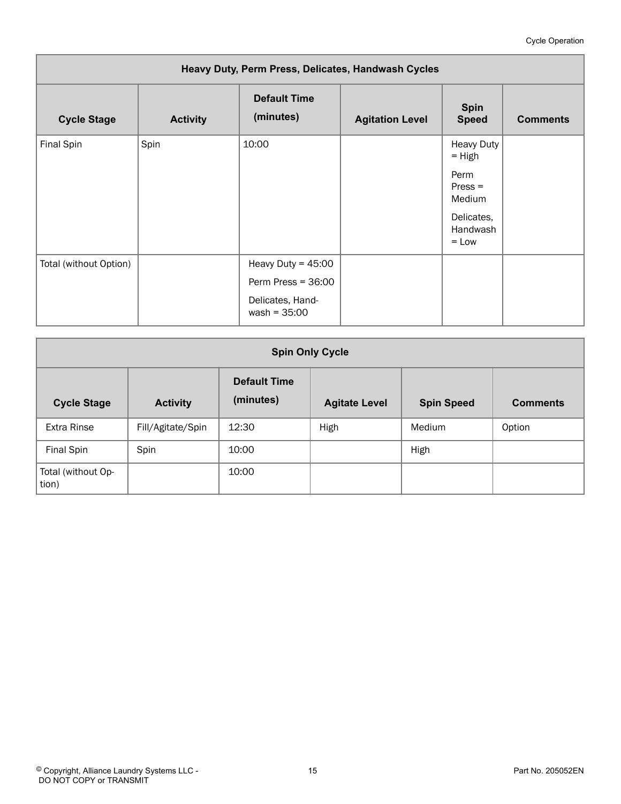#### Cycle Operation

<span id="page-14-0"></span>

| Heavy Duty, Perm Press, Delicates, Handwash Cycles |                 |                                    |                        |                                   |                 |
|----------------------------------------------------|-----------------|------------------------------------|------------------------|-----------------------------------|-----------------|
| <b>Cycle Stage</b>                                 | <b>Activity</b> | <b>Default Time</b><br>(minutes)   | <b>Agitation Level</b> | <b>Spin</b><br><b>Speed</b>       | <b>Comments</b> |
| Final Spin                                         | Spin            | 10:00                              |                        | <b>Heavy Duty</b><br>$=$ High     |                 |
|                                                    |                 |                                    |                        | Perm<br>$Press =$<br>Medium       |                 |
|                                                    |                 |                                    |                        | Delicates,<br>Handwash<br>$=$ Low |                 |
| Total (without Option)                             |                 | Heavy Duty = $45:00$               |                        |                                   |                 |
|                                                    |                 | Perm Press = $36:00$               |                        |                                   |                 |
|                                                    |                 | Delicates, Hand-<br>$wash = 35:00$ |                        |                                   |                 |

| <b>Spin Only Cycle</b>                                                                                                                    |                   |       |      |        |        |
|-------------------------------------------------------------------------------------------------------------------------------------------|-------------------|-------|------|--------|--------|
| <b>Default Time</b><br>(minutes)<br><b>Cycle Stage</b><br><b>Activity</b><br><b>Comments</b><br><b>Agitate Level</b><br><b>Spin Speed</b> |                   |       |      |        |        |
| <b>Extra Rinse</b>                                                                                                                        | Fill/Agitate/Spin | 12:30 | High | Medium | Option |
| Final Spin                                                                                                                                | Spin              | 10:00 |      | High   |        |
| Total (without Op-<br>tion)                                                                                                               |                   | 10:00 |      |        |        |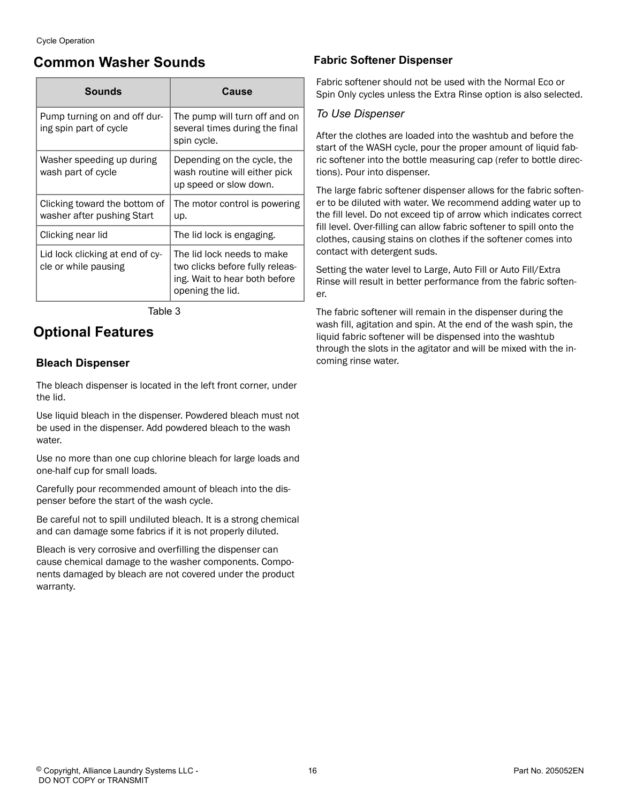### <span id="page-15-0"></span>**Common Washer Sounds**

| <b>Sounds</b>                                               | Cause                                                                                                              |
|-------------------------------------------------------------|--------------------------------------------------------------------------------------------------------------------|
| Pump turning on and off dur-<br>ing spin part of cycle      | The pump will turn off and on<br>several times during the final<br>spin cycle.                                     |
| Washer speeding up during<br>wash part of cycle             | Depending on the cycle, the<br>wash routine will either pick<br>up speed or slow down.                             |
| Clicking toward the bottom of<br>washer after pushing Start | The motor control is powering<br>up.                                                                               |
| Clicking near lid                                           | The lid lock is engaging.                                                                                          |
| Lid lock clicking at end of cy-<br>cle or while pausing     | The lid lock needs to make<br>two clicks before fully releas-<br>ing. Wait to hear both before<br>opening the lid. |

#### Table 3

### **Optional Features**

#### **Bleach Dispenser**

The bleach dispenser is located in the left front corner, under the lid.

Use liquid bleach in the dispenser. Powdered bleach must not be used in the dispenser. Add powdered bleach to the wash water.

Use no more than one cup chlorine bleach for large loads and one-half cup for small loads.

Carefully pour recommended amount of bleach into the dispenser before the start of the wash cycle.

Be careful not to spill undiluted bleach. It is a strong chemical and can damage some fabrics if it is not properly diluted.

Bleach is very corrosive and overfilling the dispenser can cause chemical damage to the washer components. Components damaged by bleach are not covered under the product warranty.

#### **Fabric Softener Dispenser**

Fabric softener should not be used with the Normal Eco or Spin Only cycles unless the Extra Rinse option is also selected.

#### *To Use Dispenser*

After the clothes are loaded into the washtub and before the start of the WASH cycle, pour the proper amount of liquid fabric softener into the bottle measuring cap (refer to bottle directions). Pour into dispenser.

The large fabric softener dispenser allows for the fabric softener to be diluted with water. We recommend adding water up to the fill level. Do not exceed tip of arrow which indicates correct fill level. Over-filling can allow fabric softener to spill onto the clothes, causing stains on clothes if the softener comes into contact with detergent suds.

Setting the water level to Large, Auto Fill or Auto Fill/Extra Rinse will result in better performance from the fabric softener.

The fabric softener will remain in the dispenser during the wash fill, agitation and spin. At the end of the wash spin, the liquid fabric softener will be dispensed into the washtub through the slots in the agitator and will be mixed with the incoming rinse water.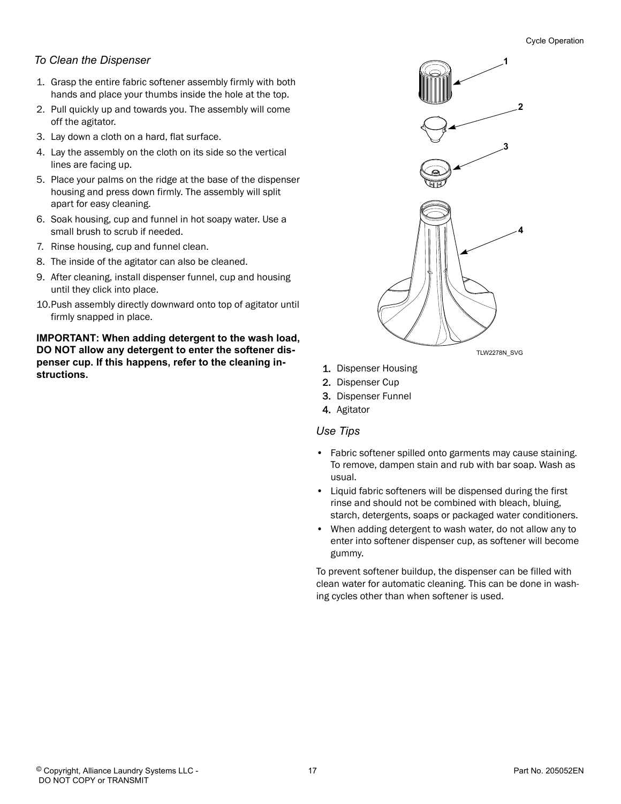#### *To Clean the Dispenser*

- 1. Grasp the entire fabric softener assembly firmly with both hands and place your thumbs inside the hole at the top.
- 2. Pull quickly up and towards you. The assembly will come off the agitator.
- 3. Lay down a cloth on a hard, flat surface.
- 4. Lay the assembly on the cloth on its side so the vertical lines are facing up.
- 5. Place your palms on the ridge at the base of the dispenser housing and press down firmly. The assembly will split apart for easy cleaning.
- 6. Soak housing, cup and funnel in hot soapy water. Use a small brush to scrub if needed.
- 7. Rinse housing, cup and funnel clean.
- 8. The inside of the agitator can also be cleaned.
- 9. After cleaning, install dispenser funnel, cup and housing until they click into place.
- 10. Push assembly directly downward onto top of agitator until firmly snapped in place.

**IMPORTANT: When adding detergent to the wash load, DO NOT allow any detergent to enter the softener dispenser cup. If this happens, refer to the cleaning instructions.**



TLW2278N\_SVG

- 1. Dispenser Housing
- 2. Dispenser Cup
- 3. Dispenser Funnel
- 4. Agitator

 *Use Tips*

- Fabric softener spilled onto garments may cause staining. To remove, dampen stain and rub with bar soap. Wash as usual.
- Liquid fabric softeners will be dispensed during the first rinse and should not be combined with bleach, bluing, starch, detergents, soaps or packaged water conditioners.
- When adding detergent to wash water, do not allow any to enter into softener dispenser cup, as softener will become gummy.

To prevent softener buildup, the dispenser can be filled with clean water for automatic cleaning. This can be done in washing cycles other than when softener is used.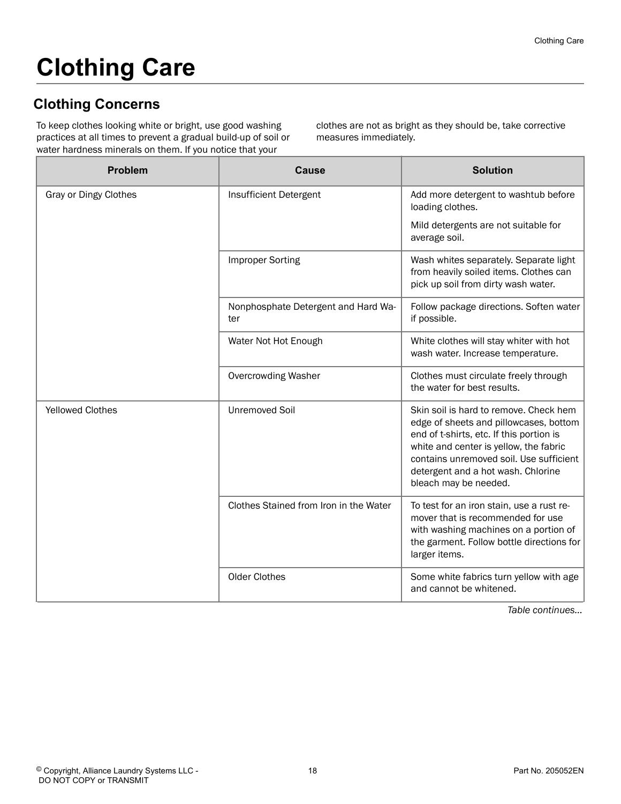# <span id="page-17-0"></span>**Clothing Care**

# **Clothing Concerns**

To keep clothes looking white or bright, use good washing practices at all times to prevent a gradual build-up of soil or water hardness minerals on them. If you notice that your

clothes are not as bright as they should be, take corrective measures immediately.

| <b>Problem</b>          | Cause                                      | <b>Solution</b>                                                                                                                                                                                                                                                                  |
|-------------------------|--------------------------------------------|----------------------------------------------------------------------------------------------------------------------------------------------------------------------------------------------------------------------------------------------------------------------------------|
| Gray or Dingy Clothes   | Insufficient Detergent                     | Add more detergent to washtub before<br>loading clothes.                                                                                                                                                                                                                         |
|                         |                                            | Mild detergents are not suitable for<br>average soil.                                                                                                                                                                                                                            |
|                         | <b>Improper Sorting</b>                    | Wash whites separately. Separate light<br>from heavily soiled items. Clothes can<br>pick up soil from dirty wash water.                                                                                                                                                          |
|                         | Nonphosphate Detergent and Hard Wa-<br>ter | Follow package directions. Soften water<br>if possible.                                                                                                                                                                                                                          |
|                         | Water Not Hot Enough                       | White clothes will stay whiter with hot<br>wash water. Increase temperature.                                                                                                                                                                                                     |
|                         | <b>Overcrowding Washer</b>                 | Clothes must circulate freely through<br>the water for best results.                                                                                                                                                                                                             |
| <b>Yellowed Clothes</b> | <b>Unremoved Soil</b>                      | Skin soil is hard to remove. Check hem<br>edge of sheets and pillowcases, bottom<br>end of t-shirts, etc. If this portion is<br>white and center is yellow, the fabric<br>contains unremoved soil. Use sufficient<br>detergent and a hot wash. Chlorine<br>bleach may be needed. |
|                         | Clothes Stained from Iron in the Water     | To test for an iron stain, use a rust re-<br>mover that is recommended for use<br>with washing machines on a portion of<br>the garment. Follow bottle directions for<br>larger items.                                                                                            |
|                         | Older Clothes                              | Some white fabrics turn yellow with age<br>and cannot be whitened.                                                                                                                                                                                                               |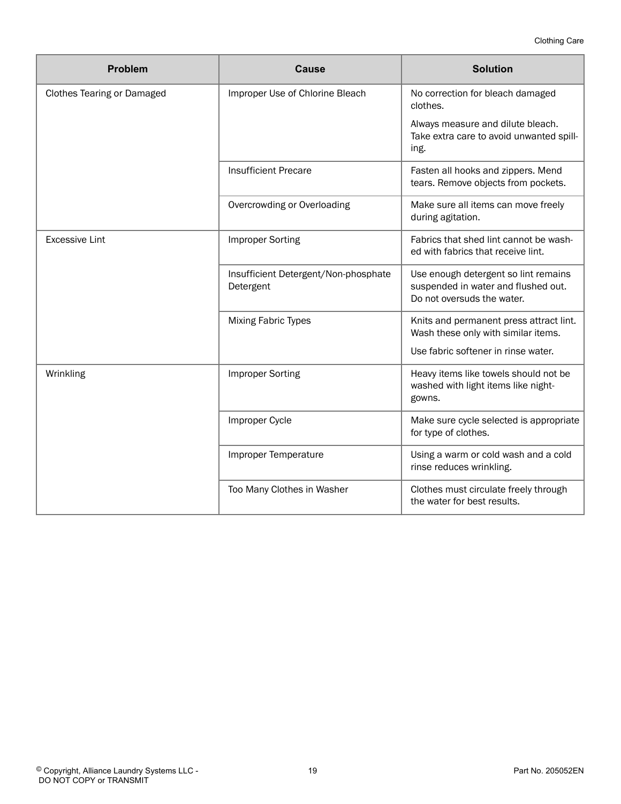| <b>Problem</b>                    | <b>Cause</b>                                      | <b>Solution</b>                                                                                           |
|-----------------------------------|---------------------------------------------------|-----------------------------------------------------------------------------------------------------------|
| <b>Clothes Tearing or Damaged</b> | Improper Use of Chlorine Bleach                   | No correction for bleach damaged<br>clothes.                                                              |
|                                   |                                                   | Always measure and dilute bleach.<br>Take extra care to avoid unwanted spill-<br>ing.                     |
|                                   | <b>Insufficient Precare</b>                       | Fasten all hooks and zippers. Mend<br>tears. Remove objects from pockets.                                 |
|                                   | Overcrowding or Overloading                       | Make sure all items can move freely<br>during agitation.                                                  |
| <b>Excessive Lint</b>             | <b>Improper Sorting</b>                           | Fabrics that shed lint cannot be wash-<br>ed with fabrics that receive lint.                              |
|                                   | Insufficient Detergent/Non-phosphate<br>Detergent | Use enough detergent so lint remains<br>suspended in water and flushed out.<br>Do not oversuds the water. |
|                                   | Mixing Fabric Types                               | Knits and permanent press attract lint.<br>Wash these only with similar items.                            |
|                                   |                                                   | Use fabric softener in rinse water.                                                                       |
| Wrinkling                         | <b>Improper Sorting</b>                           | Heavy items like towels should not be<br>washed with light items like night-<br>gowns.                    |
|                                   | Improper Cycle                                    | Make sure cycle selected is appropriate<br>for type of clothes.                                           |
|                                   | Improper Temperature                              | Using a warm or cold wash and a cold<br>rinse reduces wrinkling.                                          |
|                                   | Too Many Clothes in Washer                        | Clothes must circulate freely through<br>the water for best results.                                      |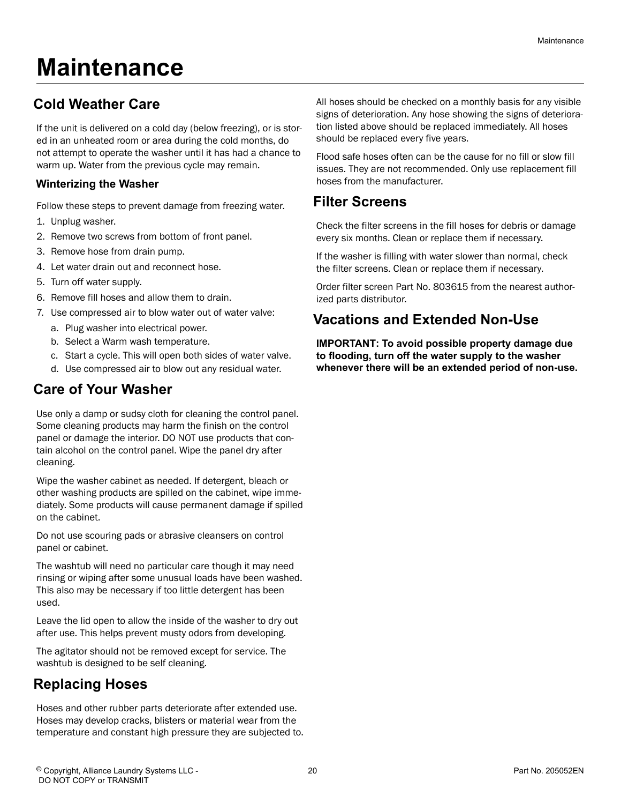# <span id="page-19-0"></span>**Maintenance**

# **Cold Weather Care**

If the unit is delivered on a cold day (below freezing), or is stored in an unheated room or area during the cold months, do not attempt to operate the washer until it has had a chance to warm up. Water from the previous cycle may remain.

#### **Winterizing the Washer**

Follow these steps to prevent damage from freezing water.

- 1. Unplug washer.
- 2. Remove two screws from bottom of front panel.
- 3. Remove hose from drain pump.
- 4. Let water drain out and reconnect hose.
- 5. Turn off water supply.
- 6. Remove fill hoses and allow them to drain.
- 7. Use compressed air to blow water out of water valve:
	- a. Plug washer into electrical power.
	- b. Select a Warm wash temperature.
	- c. Start a cycle. This will open both sides of water valve.
	- d. Use compressed air to blow out any residual water.

### **Care of Your Washer**

Use only a damp or sudsy cloth for cleaning the control panel. Some cleaning products may harm the finish on the control panel or damage the interior. DO NOT use products that contain alcohol on the control panel. Wipe the panel dry after cleaning.

Wipe the washer cabinet as needed. If detergent, bleach or other washing products are spilled on the cabinet, wipe immediately. Some products will cause permanent damage if spilled on the cabinet.

Do not use scouring pads or abrasive cleansers on control panel or cabinet.

The washtub will need no particular care though it may need rinsing or wiping after some unusual loads have been washed. This also may be necessary if too little detergent has been used.

Leave the lid open to allow the inside of the washer to dry out after use. This helps prevent musty odors from developing.

The agitator should not be removed except for service. The washtub is designed to be self cleaning.

### **Replacing Hoses**

Hoses and other rubber parts deteriorate after extended use. Hoses may develop cracks, blisters or material wear from the temperature and constant high pressure they are subjected to.

All hoses should be checked on a monthly basis for any visible signs of deterioration. Any hose showing the signs of deterioration listed above should be replaced immediately. All hoses should be replaced every five years.

Flood safe hoses often can be the cause for no fill or slow fill issues. They are not recommended. Only use replacement fill hoses from the manufacturer.

### **Filter Screens**

Check the filter screens in the fill hoses for debris or damage every six months. Clean or replace them if necessary.

If the washer is filling with water slower than normal, check the filter screens. Clean or replace them if necessary.

Order filter screen Part No. 803615 from the nearest authorized parts distributor.

### **Vacations and Extended Non-Use**

**IMPORTANT: To avoid possible property damage due to flooding, turn off the water supply to the washer whenever there will be an extended period of non-use.**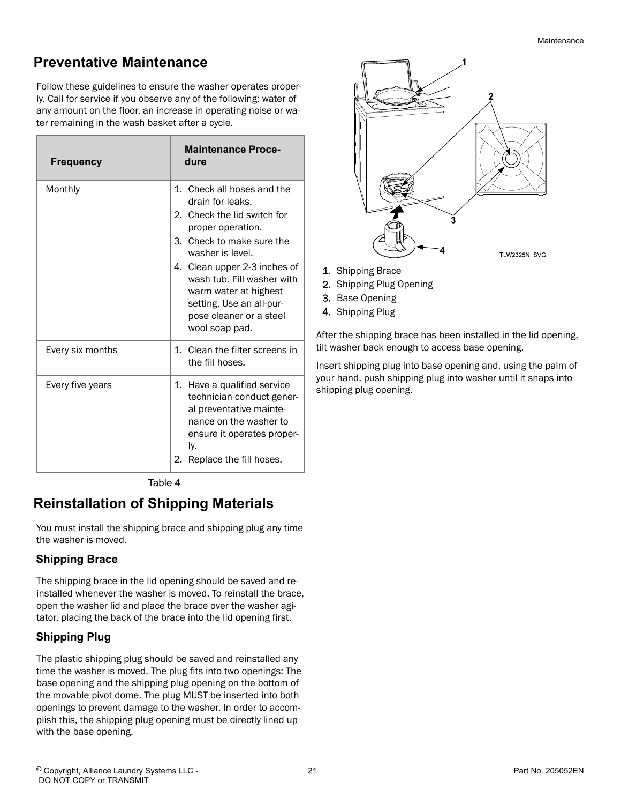# <span id="page-20-0"></span>**Preventative Maintenance**

Follow these guidelines to ensure the washer operates properly. Call for service if you observe any of the following: water of any amount on the floor, an increase in operating noise or water remaining in the wash basket after a cycle.

| <b>Frequency</b> | <b>Maintenance Proce-</b><br>dure                                                                                                                                                                                                                                                                                   |
|------------------|---------------------------------------------------------------------------------------------------------------------------------------------------------------------------------------------------------------------------------------------------------------------------------------------------------------------|
| Monthly          | 1. Check all hoses and the<br>drain for leaks.<br>2. Check the lid switch for<br>proper operation.<br>3. Check to make sure the<br>washer is level.<br>4. Clean upper 2-3 inches of<br>wash tub. Fill washer with<br>warm water at highest<br>setting. Use an all-pur-<br>pose cleaner or a steel<br>wool soap pad. |
| Every six months | 1. Clean the filter screens in<br>the fill hoses.                                                                                                                                                                                                                                                                   |
| Every five years | 1. Have a qualified service<br>technician conduct gener-<br>al preventative mainte-<br>nance on the washer to<br>ensure it operates proper-<br>ly.<br>Replace the fill hoses.<br>2.                                                                                                                                 |

Table 4

### **Reinstallation of Shipping Materials**

You must install the shipping brace and shipping plug any time the washer is moved.

#### **Shipping Brace**

The shipping brace in the lid opening should be saved and reinstalled whenever the washer is moved. To reinstall the brace, open the washer lid and place the brace over the washer agitator, placing the back of the brace into the lid opening first.

#### **Shipping Plug**

The plastic shipping plug should be saved and reinstalled any time the washer is moved. The plug fits into two openings: The base opening and the shipping plug opening on the bottom of the movable pivot dome. The plug MUST be inserted into both openings to prevent damage to the washer. In order to accomplish this, the shipping plug opening must be directly lined up with the base opening.



- 1. Shipping Brace
- 2. Shipping Plug Opening
- 3. Base Opening
- 4. Shipping Plug

After the shipping brace has been installed in the lid opening, tilt washer back enough to access base opening.

Insert shipping plug into base opening and, using the palm of your hand, push shipping plug into washer until it snaps into shipping plug opening.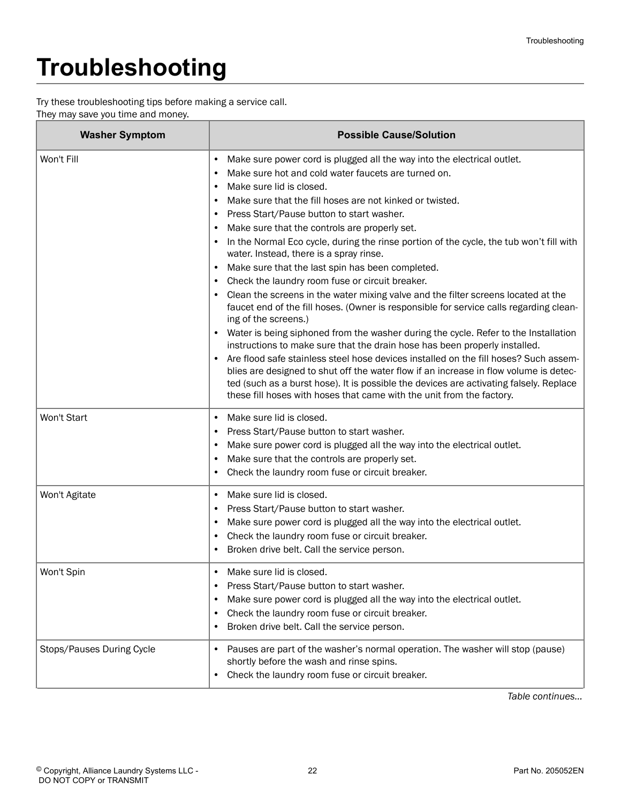# <span id="page-21-0"></span>**Troubleshooting**

Try these troubleshooting tips before making a service call.

They may save you time and money.

| <b>Washer Symptom</b>     | <b>Possible Cause/Solution</b>                                                                                                                                                                                                                                                                                                                                                                                                                                                                                                                                                                                                                                                                                                                                                                                                                                                                                                                                                                                                                                                                                                                                                                                                                                                                                                           |
|---------------------------|------------------------------------------------------------------------------------------------------------------------------------------------------------------------------------------------------------------------------------------------------------------------------------------------------------------------------------------------------------------------------------------------------------------------------------------------------------------------------------------------------------------------------------------------------------------------------------------------------------------------------------------------------------------------------------------------------------------------------------------------------------------------------------------------------------------------------------------------------------------------------------------------------------------------------------------------------------------------------------------------------------------------------------------------------------------------------------------------------------------------------------------------------------------------------------------------------------------------------------------------------------------------------------------------------------------------------------------|
| Won't Fill                | Make sure power cord is plugged all the way into the electrical outlet.<br>$\bullet$<br>Make sure hot and cold water faucets are turned on.<br>Make sure lid is closed.<br>$\bullet$<br>Make sure that the fill hoses are not kinked or twisted.<br>$\bullet$<br>Press Start/Pause button to start washer.<br>Make sure that the controls are properly set.<br>In the Normal Eco cycle, during the rinse portion of the cycle, the tub won't fill with<br>water. Instead, there is a spray rinse.<br>Make sure that the last spin has been completed.<br>Check the laundry room fuse or circuit breaker.<br>Clean the screens in the water mixing valve and the filter screens located at the<br>faucet end of the fill hoses. (Owner is responsible for service calls regarding clean-<br>ing of the screens.)<br>Water is being siphoned from the washer during the cycle. Refer to the Installation<br>instructions to make sure that the drain hose has been properly installed.<br>Are flood safe stainless steel hose devices installed on the fill hoses? Such assem-<br>blies are designed to shut off the water flow if an increase in flow volume is detec-<br>ted (such as a burst hose). It is possible the devices are activating falsely. Replace<br>these fill hoses with hoses that came with the unit from the factory. |
| Won't Start               | Make sure lid is closed.<br>$\bullet$<br>Press Start/Pause button to start washer.<br>Make sure power cord is plugged all the way into the electrical outlet.<br>Make sure that the controls are properly set.<br>Check the laundry room fuse or circuit breaker.                                                                                                                                                                                                                                                                                                                                                                                                                                                                                                                                                                                                                                                                                                                                                                                                                                                                                                                                                                                                                                                                        |
| Won't Agitate             | Make sure lid is closed.<br>$\bullet$<br>Press Start/Pause button to start washer.<br>Make sure power cord is plugged all the way into the electrical outlet.<br>Check the laundry room fuse or circuit breaker.<br>Broken drive belt. Call the service person.                                                                                                                                                                                                                                                                                                                                                                                                                                                                                                                                                                                                                                                                                                                                                                                                                                                                                                                                                                                                                                                                          |
| Won't Spin                | Make sure lid is closed.<br>Press Start/Pause button to start washer.<br>Make sure power cord is plugged all the way into the electrical outlet.<br>Check the laundry room fuse or circuit breaker.<br>Broken drive belt. Call the service person.                                                                                                                                                                                                                                                                                                                                                                                                                                                                                                                                                                                                                                                                                                                                                                                                                                                                                                                                                                                                                                                                                       |
| Stops/Pauses During Cycle | Pauses are part of the washer's normal operation. The washer will stop (pause)<br>٠<br>shortly before the wash and rinse spins.<br>Check the laundry room fuse or circuit breaker.<br>$\bullet$                                                                                                                                                                                                                                                                                                                                                                                                                                                                                                                                                                                                                                                                                                                                                                                                                                                                                                                                                                                                                                                                                                                                          |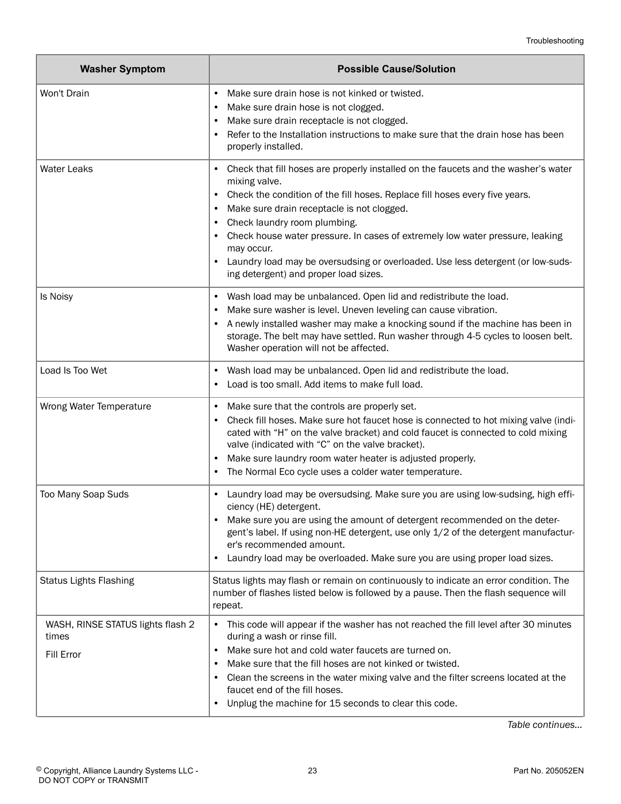| <b>Washer Symptom</b>                                    | <b>Possible Cause/Solution</b>                                                                                                                                                                                                                                                                                                                                                                                                                                                                                     |
|----------------------------------------------------------|--------------------------------------------------------------------------------------------------------------------------------------------------------------------------------------------------------------------------------------------------------------------------------------------------------------------------------------------------------------------------------------------------------------------------------------------------------------------------------------------------------------------|
| Won't Drain                                              | Make sure drain hose is not kinked or twisted.<br>$\bullet$<br>Make sure drain hose is not clogged.<br>٠<br>Make sure drain receptacle is not clogged.<br>٠<br>Refer to the Installation instructions to make sure that the drain hose has been<br>٠<br>properly installed.                                                                                                                                                                                                                                        |
| <b>Water Leaks</b>                                       | Check that fill hoses are properly installed on the faucets and the washer's water<br>٠<br>mixing valve.<br>Check the condition of the fill hoses. Replace fill hoses every five years.<br>Make sure drain receptacle is not clogged.<br>$\bullet$<br>Check laundry room plumbing.<br>٠<br>Check house water pressure. In cases of extremely low water pressure, leaking<br>may occur.<br>Laundry load may be oversudsing or overloaded. Use less detergent (or low-suds-<br>ing detergent) and proper load sizes. |
| Is Noisy                                                 | Wash load may be unbalanced. Open lid and redistribute the load.<br>٠<br>Make sure washer is level. Uneven leveling can cause vibration.<br>A newly installed washer may make a knocking sound if the machine has been in<br>storage. The belt may have settled. Run washer through 4-5 cycles to loosen belt.<br>Washer operation will not be affected.                                                                                                                                                           |
| Load Is Too Wet                                          | Wash load may be unbalanced. Open lid and redistribute the load.<br>٠<br>Load is too small. Add items to make full load.<br>٠                                                                                                                                                                                                                                                                                                                                                                                      |
| Wrong Water Temperature                                  | Make sure that the controls are properly set.<br>٠<br>Check fill hoses. Make sure hot faucet hose is connected to hot mixing valve (indi-<br>$\bullet$<br>cated with "H" on the valve bracket) and cold faucet is connected to cold mixing<br>valve (indicated with "C" on the valve bracket).<br>Make sure laundry room water heater is adjusted properly.<br>The Normal Eco cycle uses a colder water temperature.<br>$\bullet$                                                                                  |
| Too Many Soap Suds                                       | Laundry load may be oversudsing. Make sure you are using low-sudsing, high effi-<br>ciency (HE) detergent.<br>Make sure you are using the amount of detergent recommended on the deter-<br>gent's label. If using non-HE detergent, use only 1/2 of the detergent manufactur-<br>er's recommended amount.<br>Laundry load may be overloaded. Make sure you are using proper load sizes.<br>٠                                                                                                                       |
| <b>Status Lights Flashing</b>                            | Status lights may flash or remain on continuously to indicate an error condition. The<br>number of flashes listed below is followed by a pause. Then the flash sequence will<br>repeat.                                                                                                                                                                                                                                                                                                                            |
| WASH, RINSE STATUS lights flash 2<br>times<br>Fill Error | This code will appear if the washer has not reached the fill level after 30 minutes<br>during a wash or rinse fill.<br>Make sure hot and cold water faucets are turned on.<br>$\bullet$<br>Make sure that the fill hoses are not kinked or twisted.<br>٠<br>Clean the screens in the water mixing valve and the filter screens located at the<br>faucet end of the fill hoses.<br>Unplug the machine for 15 seconds to clear this code.                                                                            |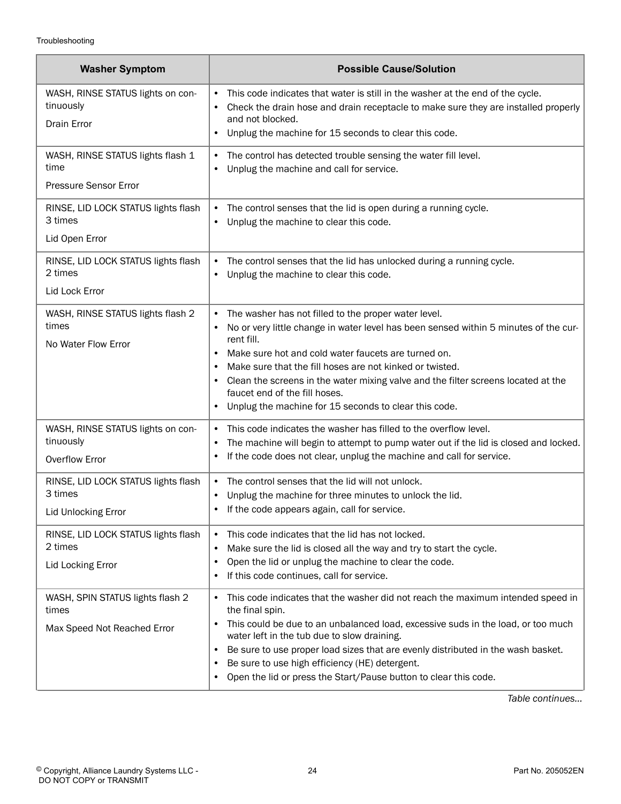| <b>Washer Symptom</b>                                                        | <b>Possible Cause/Solution</b>                                                                                                                                                                                                                                                                                                                                                                                                                                                              |
|------------------------------------------------------------------------------|---------------------------------------------------------------------------------------------------------------------------------------------------------------------------------------------------------------------------------------------------------------------------------------------------------------------------------------------------------------------------------------------------------------------------------------------------------------------------------------------|
| WASH, RINSE STATUS lights on con-<br>tinuously<br>Drain Error                | This code indicates that water is still in the washer at the end of the cycle.<br>$\bullet$<br>Check the drain hose and drain receptacle to make sure they are installed properly<br>and not blocked.                                                                                                                                                                                                                                                                                       |
| WASH, RINSE STATUS lights flash 1<br>time<br>Pressure Sensor Error           | Unplug the machine for 15 seconds to clear this code.<br>The control has detected trouble sensing the water fill level.<br>$\bullet$<br>Unplug the machine and call for service.<br>$\bullet$                                                                                                                                                                                                                                                                                               |
| RINSE, LID LOCK STATUS lights flash<br>3 times<br>Lid Open Error             | The control senses that the lid is open during a running cycle.<br>$\bullet$<br>Unplug the machine to clear this code.<br>$\bullet$                                                                                                                                                                                                                                                                                                                                                         |
| RINSE, LID LOCK STATUS lights flash<br>2 times<br>Lid Lock Error             | The control senses that the lid has unlocked during a running cycle.<br>$\bullet$<br>Unplug the machine to clear this code.<br>$\bullet$                                                                                                                                                                                                                                                                                                                                                    |
| WASH, RINSE STATUS lights flash 2<br>times<br>No Water Flow Error            | The washer has not filled to the proper water level.<br>$\bullet$<br>No or very little change in water level has been sensed within 5 minutes of the cur-<br>rent fill.<br>Make sure hot and cold water faucets are turned on.<br>٠<br>Make sure that the fill hoses are not kinked or twisted.<br>$\bullet$<br>Clean the screens in the water mixing valve and the filter screens located at the<br>faucet end of the fill hoses.<br>Unplug the machine for 15 seconds to clear this code. |
| WASH, RINSE STATUS lights on con-<br>tinuously<br><b>Overflow Error</b>      | This code indicates the washer has filled to the overflow level.<br>$\bullet$<br>The machine will begin to attempt to pump water out if the lid is closed and locked.<br>٠<br>If the code does not clear, unplug the machine and call for service.                                                                                                                                                                                                                                          |
| RINSE, LID LOCK STATUS lights flash<br>3 times<br><b>Lid Unlocking Error</b> | The control senses that the lid will not unlock.<br>$\bullet$<br>Unplug the machine for three minutes to unlock the lid.<br>$\bullet$<br>If the code appears again, call for service<br>٠                                                                                                                                                                                                                                                                                                   |
| RINSE, LID LOCK STATUS lights flash<br>2 times<br>Lid Locking Error          | This code indicates that the lid has not locked.<br>$\bullet$<br>Make sure the lid is closed all the way and try to start the cycle.<br>$\bullet$<br>Open the lid or unplug the machine to clear the code.<br>$\bullet$<br>If this code continues, call for service.<br>$\bullet$                                                                                                                                                                                                           |
| WASH, SPIN STATUS lights flash 2<br>times<br>Max Speed Not Reached Error     | This code indicates that the washer did not reach the maximum intended speed in<br>$\bullet$<br>the final spin.<br>This could be due to an unbalanced load, excessive suds in the load, or too much<br>water left in the tub due to slow draining.<br>Be sure to use proper load sizes that are evenly distributed in the wash basket.<br>٠<br>Be sure to use high efficiency (HE) detergent.<br>Open the lid or press the Start/Pause button to clear this code.<br>٠                      |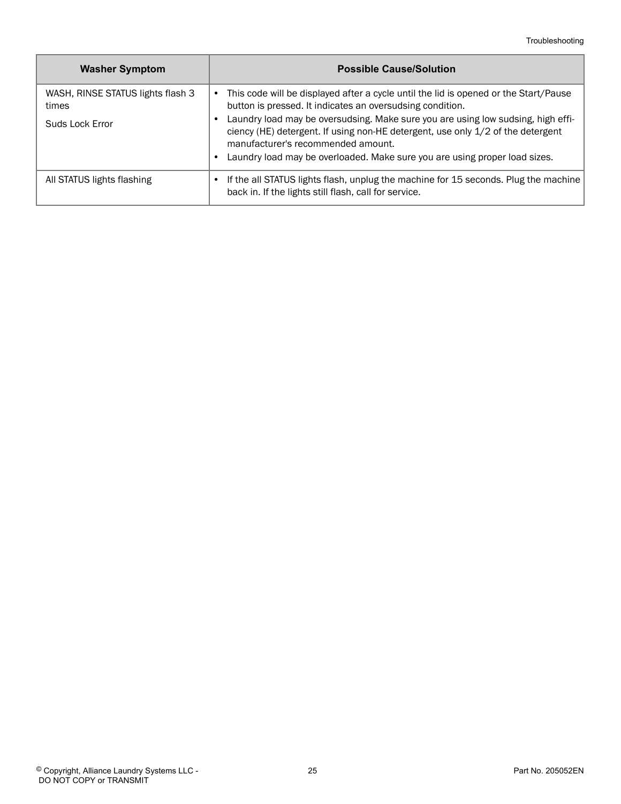| <b>Washer Symptom</b>                      | <b>Possible Cause/Solution</b>                                                                                                                                                                            |
|--------------------------------------------|-----------------------------------------------------------------------------------------------------------------------------------------------------------------------------------------------------------|
| WASH, RINSE STATUS lights flash 3<br>times | This code will be displayed after a cycle until the lid is opened or the Start/Pause<br>button is pressed. It indicates an oversudsing condition.                                                         |
| Suds Lock Error                            | Laundry load may be oversudsing. Make sure you are using low sudsing, high effi-<br>ciency (HE) detergent. If using non-HE detergent, use only 1/2 of the detergent<br>manufacturer's recommended amount. |
|                                            | Laundry load may be overloaded. Make sure you are using proper load sizes.                                                                                                                                |
| All STATUS lights flashing                 | If the all STATUS lights flash, unplug the machine for 15 seconds. Plug the machine<br>back in. If the lights still flash, call for service.                                                              |